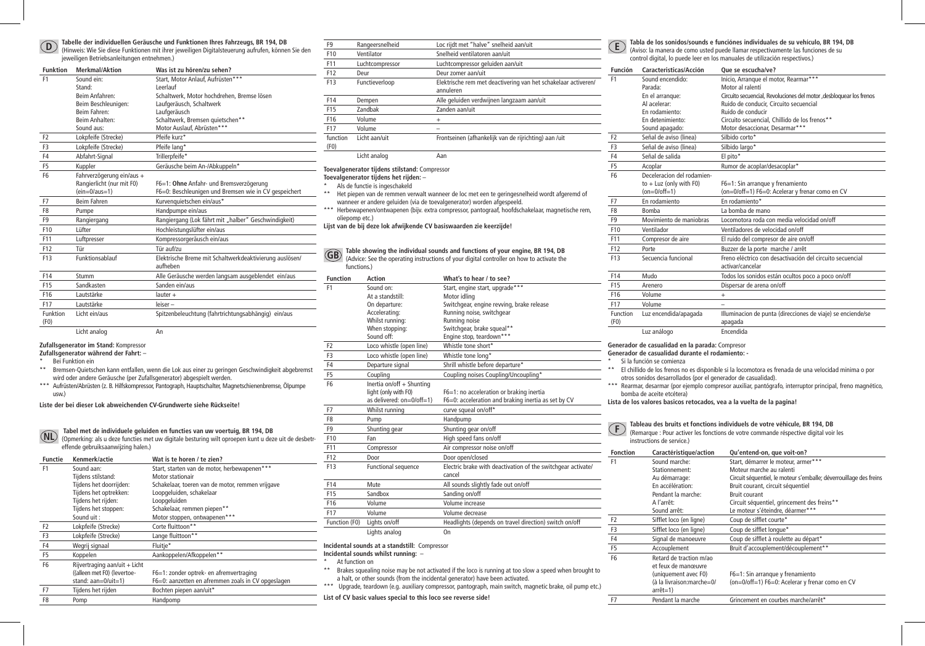**D**

#### **Tabelle der individuellen Geräusche und Funktionen Ihres Fahrzeugs, BR 194, DB**

(Hinweis: Wie Sie diese Funktionen mit ihrer jeweiligen Digitalsteuerung aufrufen, können Sie den jeweiligen Betriebsanleitungen entnehmen.)

| <b>Funktion</b>  | <b>Merkmal/Aktion</b>      | Was ist zu hören/zu sehen?                              |
|------------------|----------------------------|---------------------------------------------------------|
| F <sub>1</sub>   | Sound ein:                 | Start, Motor Anlauf, Aufrüsten***                       |
|                  | Stand:                     | Leerlauf                                                |
|                  | Reim Anfahren <sup>.</sup> | Schaltwerk, Motor hochdrehen, Bremse lösen              |
|                  | Beim Beschleunigen:        | Laufgeräusch, Schaltwerk                                |
|                  | <b>Reim Fahren:</b>        | Laufgeräusch                                            |
|                  | <b>Beim Anhalten:</b>      | Schaltwerk, Bremsen quietschen**                        |
|                  | Sound aus:                 | Motor Auslauf, Abrüsten***                              |
| F <sub>2</sub>   | Lokpfeife (Strecke)        | Pfeife kurz*                                            |
| F <sub>3</sub>   | Lokpfeife (Strecke)        | Pfeife lang*                                            |
| F4               | Abfahrt-Signal             | Trillerpfeife*                                          |
| F <sub>5</sub>   | Kuppler                    | Geräusche beim An-/Abkuppeln*                           |
| F <sub>6</sub>   | Fahrverzögerung ein/aus +  |                                                         |
|                  | Rangierlicht (nur mit F0)  | F6=1: Ohne Anfahr- und Bremsverzögerung                 |
|                  | $(ein=0/aus=1)$            | F6=0: Beschleunigen und Bremsen wie in CV gespeichert   |
| F7               | Beim Fahren                | Kurvenquietschen ein/aus*                               |
| F <sub>8</sub>   | Pumpe                      | Handpumpe ein/aus                                       |
| F <sub>9</sub>   | Rangiergang                | Rangiergang (Lok fährt mit "halber" Geschwindigkeit)    |
| F10              | Lüfter                     | Hochleistungslüfter ein/aus                             |
| F11              | Luftpresser                | Kompressorgeräusch ein/aus                              |
| F <sub>12</sub>  | Tür                        | Tür auf/zu                                              |
| F13              | Funktionsablauf            | Elektrische Breme mit Schaltwerkdeaktivierung auslösen/ |
|                  |                            | aufheben                                                |
| F14              | Stumm                      | Alle Geräusche werden langsam ausgeblendet ein/aus      |
| F <sub>15</sub>  | Sandkasten                 | Sanden ein/aus                                          |
| F16              | Lautstärke                 | lauter +                                                |
| F17              | Lautstärke                 | leiser-                                                 |
| Funktion<br>(F0) | Licht ein/aus              | Spitzenbeleuchtung (fahrtrichtungsabhängig) ein/aus     |
|                  | Licht analog               | An                                                      |

#### **Zufallsgenerator im Stand:** Kompressor

**Zufallsgenerator während der Fahrt:** –

- \* Bei Funktion ein
- \*\* Bremsen-Quietschen kann entfallen, wenn die Lok aus einer zu geringen Geschwindigkeit abgebremst wird oder andere Geräusche (per Zufallsgenerator) abgespielt werden.
- \*\*\* Aufrüsten/Abrüsten (z. B. Hilfskompressor, Pantograph, Hauptschalter, Magnetschienenbremse, Ölpumpe usw.)

**Liste der bei dieser Lok abweichenden CV-Grundwerte siehe Rückseite!**

**NL Tabel met de individuele geluiden en functies van uw voertuig, BR 194, DB** (Opmerking: als u deze functies met uw digitale besturing wilt oproepen kunt u deze uit de desbetreffende gebruiksaanwijzing halen.)

| <b>Functie</b> | Kenmerk/actie                 | Wat is te horen / te zien?                         |
|----------------|-------------------------------|----------------------------------------------------|
| F <sub>1</sub> | Sound aan:                    | Start, starten van de motor, herbewapenen***       |
|                | Tijdens stilstand:            | Motor stationair                                   |
|                | Tijdens het doorrijden:       | Schakelaar, toeren van de motor, remmen vrijgave   |
|                | Tijdens het optrekken:        | Loopgeluiden, schakelaar                           |
|                | Tijdens het rijden:           | Loopgeluiden                                       |
|                | Tijdens het stoppen:          | Schakelaar, remmen piepen**                        |
|                | Sound uit:                    | Motor stoppen, ontwapenen***                       |
| F <sub>2</sub> | Lokpfeife (Strecke)           | Corte fluittoon**                                  |
| F <sub>3</sub> | Lokpfeife (Strecke)           | Lange fluittoon**                                  |
| F <sub>4</sub> | Wegrij signaal                | Fluitie*                                           |
| F <sub>5</sub> | Koppelen                      | Aankoppelen/Afkoppelen**                           |
| F <sub>6</sub> | Rijvertraging aan/uit + Licht |                                                    |
|                | ((alleen met F0) (levertoe-   | F6=1: zonder optrek- en afremvertraging            |
|                | stand: aan=0/uit=1)           | F6=0: aanzetten en afremmen zoals in CV opgeslagen |
| F7             | Tijdens het rijden            | Bochten piepen aan/uit*                            |
| F <sub>8</sub> | Pomp                          | Handpomp                                           |

| F <sub>9</sub>   | Rangeersnelheid | Loc rijdt met "halve" snelheid aan/uit                                      |
|------------------|-----------------|-----------------------------------------------------------------------------|
| F10              | Ventilator      | Snelheid ventilatoren aan/uit                                               |
| F11              | Luchtcompressor | Luchtcompressor geluiden aan/uit                                            |
| F <sub>12</sub>  | Deur            | Deur zomer aan/uit                                                          |
| F <sub>13</sub>  | Functieverloop  | Elektrische rem met deactivering van het schakelaar activeren/<br>annuleren |
| F14              | Dempen          | Alle geluiden verdwijnen langzaam aan/uit                                   |
| F15              | Zandbak         | Zanden aan/uit                                                              |
| F <sub>16</sub>  | Volume          | $^{+}$                                                                      |
| F17              | Volume          |                                                                             |
| function<br>(F0) | Licht aan/uit   | Frontseinen (afhankelijk van de rijrichting) aan /uit                       |
|                  | Licht analog    | Aan                                                                         |

## **Toevalgenerator tijdens stilstand:** Compressor

**Toevalgenerator tijdens het rijden:** –

- Als de functie is ingeschakeld
- \*\* Het piepen van de remmen verwalt wanneer de loc met een te geringesnelheid wordt afgeremd of wanneer er andere geluiden (via de toevalgenerator) worden afgespeeld.
- \*\*\* Herbewapenen/ontwapenen (bijv. extra compressor, pantograaf, hoofdschakelaar, magnetische rem, oliepomp etc.)

**Lijst van de bij deze lok afwijkende CV basiswaarden zie keerzijde!**

**Table showing the individual sounds and functions of your engine, BR 194, DB**<br>(Advice: See the operating instructions of your digital controller on how to activate the (Advice: See the operating instructions of your digital controller on how to activate the functions.)

| <b>Function</b>                                                                                      | Action                    | What's to hear / to see?                                               |
|------------------------------------------------------------------------------------------------------|---------------------------|------------------------------------------------------------------------|
| F <sub>1</sub>                                                                                       | Sound on:                 | Start, engine start, upgrade***                                        |
|                                                                                                      | At a standstill:          | Motor idling                                                           |
|                                                                                                      | On departure:             | Switchgear, engine revving, brake release                              |
|                                                                                                      | Accelerating:             | Running noise, switchgear                                              |
|                                                                                                      | Whilst running:           | Running noise                                                          |
|                                                                                                      | When stopping:            | Switchgear, brake squeal**                                             |
|                                                                                                      | Sound off:                | Engine stop, teardown***                                               |
| F <sub>2</sub>                                                                                       | Loco whistle (open line)  | Whistle tone short*                                                    |
| F <sub>3</sub>                                                                                       | Loco whistle (open line)  | Whistle tone long*                                                     |
| F4                                                                                                   | Departure signal          | Shrill whistle before departure*                                       |
| F <sub>5</sub>                                                                                       | Coupling                  | Coupling noises Coupling/Uncoupling*                                   |
| F <sub>6</sub>                                                                                       | Inertia on/off + Shunting |                                                                        |
|                                                                                                      | light (only with F0)      | F6=1: no acceleration or braking inertia                               |
|                                                                                                      | as delivered: on=0/off=1) | F6=0: acceleration and braking inertia as set by CV                    |
| F7                                                                                                   | Whilst running            | curve squeal on/off*                                                   |
| F <sub>8</sub>                                                                                       | Pump                      | Handpump                                                               |
| F <sub>9</sub>                                                                                       | Shunting gear             | Shunting gear on/off                                                   |
| F10                                                                                                  | Fan                       | High speed fans on/off                                                 |
| F11                                                                                                  | Compressor                | Air compressor noise on/off                                            |
| F12                                                                                                  | Door                      | Door open/closed                                                       |
| F13                                                                                                  | Functional sequence       | Electric brake with deactivation of the switchgear activate/<br>cancel |
| F14                                                                                                  | Mute                      | All sounds slightly fade out on/off                                    |
| F <sub>15</sub>                                                                                      | Sandbox                   | Sanding on/off                                                         |
| F <sub>16</sub>                                                                                      | Volume                    | Volume increase                                                        |
| F17                                                                                                  | Volume                    | Volume decrease                                                        |
| Function (F0)                                                                                        | Lights on/off             | Headlights (depends on travel direction) switch on/off                 |
|                                                                                                      | Lights analog             | O <sub>n</sub>                                                         |
| Incidental sounds at a standstill: Compressor<br>Incidental sounds whilst running: -<br>And Constant |                           |                                                                        |

\* At function on

- Brakes squealing noise may be not activated if the loco is running at too slow a speed when brought to a halt, or other sounds (from the incidental generator) have been activated.
- \*\*\* Upgrade, teardown (e.g. auxiliary compressor, pantograph, main switch, magnetic brake, oil pump etc.)

**List of CV basic values special to this loco see reverse side!**

**Tabla de los sonidos/sounds e funciónes individuales de su vehículo, BR 194, DB** (Aviso: la manera de como usted puede llamar respectivamente las funciones de su **E**

control digital, lo puede leer en los manuales de utilización respectivos.)

| <b>Función</b>                                                                                             | Caracteristicas/Acción                           | Oue se escucha/ve?                                                            |
|------------------------------------------------------------------------------------------------------------|--------------------------------------------------|-------------------------------------------------------------------------------|
| F <sub>1</sub>                                                                                             | Sound encendido:                                 | Inicio, Arranque el motor, Rearmar***                                         |
|                                                                                                            | Parada:                                          | Motor al ralentí                                                              |
|                                                                                                            | En el arranque:                                  | Circuito secuencial, Revoluciones del motor , desbloquear los frenos          |
|                                                                                                            | Al acelerar:                                     | Ruido de conducir, Circuito secuencial                                        |
|                                                                                                            | En rodamiento:                                   | Ruido de conducir                                                             |
|                                                                                                            | En detenimiento:                                 | Circuito secuencial, Chillido de los frenos**                                 |
|                                                                                                            | Sound apagado:                                   | Motor desaccionar, Desarmar***                                                |
| F <sub>2</sub>                                                                                             | Señal de aviso (linea)                           | Silbido corto*                                                                |
| F <sub>3</sub>                                                                                             | Señal de aviso (linea)                           | Silbido largo*                                                                |
| F4                                                                                                         | Señal de salida                                  | El pito*                                                                      |
| F <sub>5</sub>                                                                                             | Acoplar                                          | Rumor de acoplar/desacoplar*                                                  |
| F <sub>6</sub>                                                                                             | Deceleracion del rodamien-                       |                                                                               |
|                                                                                                            | to $+$ Luz (only with F0)                        | F6=1: Sin arrangue y frenamiento                                              |
|                                                                                                            | $(on=0/off=1)$                                   | (on=0/off=1) F6=0: Acelerar y frenar como en CV                               |
| F7                                                                                                         | En rodamiento                                    | En rodamiento*                                                                |
| F8                                                                                                         | <b>Bomba</b>                                     | La bomba de mano                                                              |
| F9                                                                                                         | Movimiento de maniobras                          | Locomotora roda con media velocidad on/off                                    |
| F10                                                                                                        | Ventilador                                       | Ventiladores de velocidad on/off                                              |
| F11                                                                                                        | Compresor de aire                                | El ruido del compresor de aire on/off                                         |
| F12                                                                                                        | Porte                                            | Buzzer de la porte marche / arrêt                                             |
| F13                                                                                                        | Secuencia funcional                              | Freno eléctrico con desactivación del circuito secuencial<br>activar/cancelar |
| F14                                                                                                        | Mudo                                             | Todos los sonidos están ocultos poco a poco on/off                            |
| F <sub>15</sub>                                                                                            | Arenero                                          | Dispersar de arena on/off                                                     |
| F <sub>16</sub>                                                                                            | Volume                                           | $+$                                                                           |
| F17                                                                                                        | Volume                                           |                                                                               |
| Function                                                                                                   | Luz encendida/apagada                            | Illuminacion de punta (direcciones de viaje) se enciende/se                   |
| (F0)                                                                                                       |                                                  | apagada                                                                       |
|                                                                                                            | Luz análogo                                      | Encendida                                                                     |
|                                                                                                            | Generador de casualidad en la parada: Compresor  |                                                                               |
|                                                                                                            | Generador de casualidad durante el rodamiento: - |                                                                               |
|                                                                                                            | Si la función se comienza                        |                                                                               |
| **<br>El chillido de los frenos no es disponible si la locomotora es frenada de una velocidad minima o por |                                                  |                                                                               |

- tora es frenada de otros sonidos desarrollados (por el generador de casualidad).
- \*\*\* Rearmar, desarmar (por ejemplo compresor auxiliar, pantógrafo, interruptor principal, freno magnético, bomba de aceite etcétera)

**Lista de los valores basicos retocados, vea a la vuelta de la pagina!**

# **Tableau des bruits et fonctions individuels de votre véhicule, BR 194, DB** (Remarque : Pour activer les fonctions de votre commande réspective digital voir les **F**

instructions de service.)

| <b>Fonction</b> | Caractéristique/action    | Qu'entend-on, que voit-on?                                         |
|-----------------|---------------------------|--------------------------------------------------------------------|
| F <sub>1</sub>  | Sound marche:             | Start, démarrer le moteur, armer***                                |
|                 | Stationnement:            | Moteur marche au ralenti                                           |
|                 | Au démarrage:             | Circuit séquentiel, le moteur s'emballe; déverrouillage des freins |
|                 | En accélération:          | Bruit courant, circuit séquentiel                                  |
|                 | Pendant la marche:        | <b>Bruit courant</b>                                               |
|                 | A l'arrêt:                | Circuit séquentiel, grincement des freins**                        |
|                 | Sound arrêt:              | Le moteur s'éteindre, déarmer***                                   |
| F <sub>2</sub>  | Sifflet loco (en ligne)   | Coup de sifflet courte*                                            |
| F <sub>3</sub>  | Sifflet loco (en ligne)   | Coup de sifflet lonque*                                            |
| F4              | Signal de manoeuvre       | Coup de sifflet à roulette au départ*                              |
| F <sub>5</sub>  | Accouplement              | Bruit d'accouplement/découplement**                                |
| F <sub>6</sub>  | Retard de traction m/ao   |                                                                    |
|                 | et feux de manœuvre       |                                                                    |
|                 | (uniquement avec F0)      | F6=1: Sin arrangue y frenamiento                                   |
|                 | (à la livraison:marche=0/ | (on=0/off=1) F6=0: Acelerar y frenar como en CV                    |
|                 | $arrêt=1)$                |                                                                    |
| F7              | Pendant la marche         | Grincement en courbes marche/arrêt*                                |